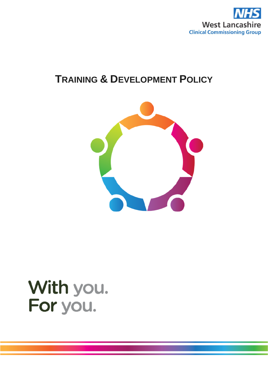

# **TRAINING & DEVELOPMENT POLICY**



# With you. For you.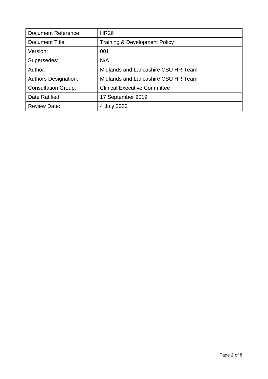| Document Reference:         | <b>HR26</b>                              |
|-----------------------------|------------------------------------------|
| Document Title:             | <b>Training &amp; Development Policy</b> |
| Version:                    | 001                                      |
| Supersedes:                 | N/A                                      |
| Author:                     | Midlands and Lancashire CSU HR Team      |
| <b>Authors Designation:</b> | Midlands and Lancashire CSU HR Team      |
| <b>Consultation Group:</b>  | <b>Clinical Executive Committee</b>      |
| Date Ratified:              | 17 September 2019                        |
| <b>Review Date:</b>         | 4 July 2022                              |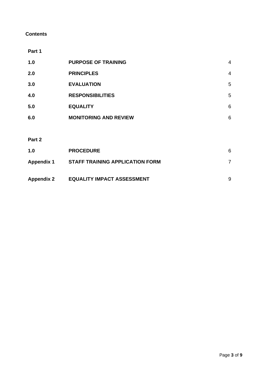#### **Contents**

**Part 1**

| 1.0    | <b>PURPOSE OF TRAINING</b>   | 4              |
|--------|------------------------------|----------------|
| 2.0    | <b>PRINCIPLES</b>            | $\overline{4}$ |
| 3.0    | <b>EVALUATION</b>            | 5              |
| 4.0    | <b>RESPONSIBILITIES</b>      | 5              |
| 5.0    | <b>EQUALITY</b>              | 6              |
| 6.0    | <b>MONITORING AND REVIEW</b> | 6              |
|        |                              |                |
| Part 2 |                              |                |

| 1.0               | <b>PROCEDURE</b>                       | 6 |
|-------------------|----------------------------------------|---|
| <b>Appendix 1</b> | <b>STAFF TRAINING APPLICATION FORM</b> |   |
| <b>Appendix 2</b> | <b>EQUALITY IMPACT ASSESSMENT</b>      | 9 |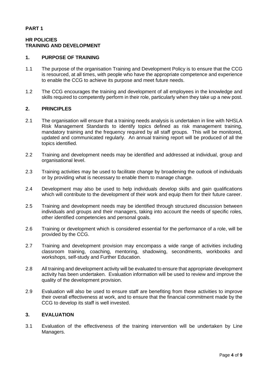#### **PART 1**

#### **HR POLICIES TRAINING AND DEVELOPMENT**

#### **1. PURPOSE OF TRAINING**

- 1.1 The purpose of the organisation Training and Development Policy is to ensure that the CCG is resourced, at all times, with people who have the appropriate competence and experience to enable the CCG to achieve its purpose and meet future needs.
- 1.2 The CCG encourages the training and development of all employees in the knowledge and skills required to competently perform in their role, particularly when they take up a new post.

#### **2. PRINCIPLES**

- 2.1 The organisation will ensure that a training needs analysis is undertaken in line with NHSLA Risk Management Standards to identify topics defined as risk management training, mandatory training and the frequency required by all staff groups. This will be monitored, updated and communicated regularly. An annual training report will be produced of all the topics identified.
- 2.2 Training and development needs may be identified and addressed at individual, group and organisational level.
- 2.3 Training activities may be used to facilitate change by broadening the outlook of individuals or by providing what is necessary to enable them to manage change.
- 2.4 Development may also be used to help individuals develop skills and gain qualifications which will contribute to the development of their work and equip them for their future career.
- 2.5 Training and development needs may be identified through structured discussion between individuals and groups and their managers, taking into account the needs of specific roles, other identified competencies and personal goals.
- 2.6 Training or development which is considered essential for the performance of a role, will be provided by the CCG.
- 2.7 Training and development provision may encompass a wide range of activities including classroom training, coaching, mentoring, shadowing, secondments, workbooks and workshops, self-study and Further Education.
- 2.8 All training and development activity will be evaluated to ensure that appropriate development activity has been undertaken. Evaluation information will be used to review and improve the quality of the development provision.
- 2.9 Evaluation will also be used to ensure staff are benefiting from these activities to improve their overall effectiveness at work, and to ensure that the financial commitment made by the CCG to develop its staff is well invested.

#### **3. EVALUATION**

3.1 Evaluation of the effectiveness of the training intervention will be undertaken by Line Managers.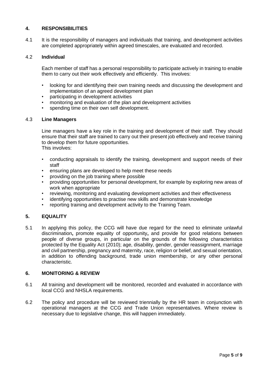#### **4. RESPONSIBILITIES**

4.1 It is the responsibility of managers and individuals that training, and development activities are completed appropriately within agreed timescales, are evaluated and recorded.

#### 4.2 **Individual**

Each member of staff has a personal responsibility to participate actively in training to enable them to carry out their work effectively and efficiently. This involves:

- looking for and identifying their own training needs and discussing the development and implementation of an agreed development plan
- participating in development activities
- monitoring and evaluation of the plan and development activities
- spending time on their own self development.

#### 4.3 **Line Managers**

Line managers have a key role in the training and development of their staff. They should ensure that their staff are trained to carry out their present job effectively and receive training to develop them for future opportunities. This involves:

- conducting appraisals to identify the training, development and support needs of their staff
- ensuring plans are developed to help meet these needs
- providing on the job training where possible
- providing opportunities for personal development, for example by exploring new areas of work when appropriate
- reviewing, monitoring and evaluating development activities and their effectiveness
- identifying opportunities to practise new skills and demonstrate knowledge
- reporting training and development activity to the Training Team.

#### **5. EQUALITY**

5.1 In applying this policy, the CCG will have due regard for the need to eliminate unlawful discrimination**,** promote equality of opportunity**,** and provide for good relations between people of diverse groups, in particular on the grounds of the following characteristics protected by the Equality Act (2010); age, disability, gender, gender reassignment, marriage and civil partnership, pregnancy and maternity, race, religion or belief, and sexual orientation, in addition to offending background, trade union membership, or any other personal characteristic.

#### **6. MONITORING & REVIEW**

- 6.1 All training and development will be monitored, recorded and evaluated in accordance with local CCG and NHSLA requirements.
- 6.2 The policy and procedure will be reviewed triennially by the HR team in conjunction with operational managers at the CCG and Trade Union representatives. Where review is necessary due to legislative change, this will happen immediately.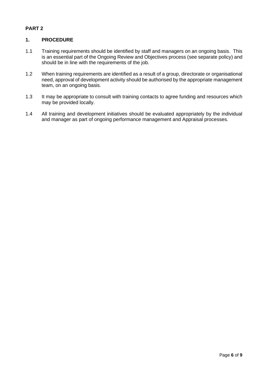### **PART 2**

#### **1. PROCEDURE**

- 1.1 Training requirements should be identified by staff and managers on an ongoing basis. This is an essential part of the Ongoing Review and Objectives process (see separate policy) and should be in line with the requirements of the job.
- 1.2 When training requirements are identified as a result of a group, directorate or organisational need, approval of development activity should be authorised by the appropriate management team, on an ongoing basis.
- 1.3 It may be appropriate to consult with training contacts to agree funding and resources which may be provided locally.
- 1.4 All training and development initiatives should be evaluated appropriately by the individual and manager as part of ongoing performance management and Appraisal processes.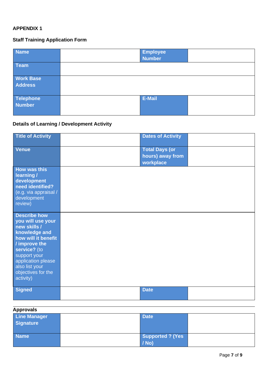# **APPENDIX 1**

# **Staff Training Application Form**

| <b>Name</b>         | Employee<br>Number |  |
|---------------------|--------------------|--|
| <b>Team</b>         |                    |  |
| <b>Work Base</b>    |                    |  |
| <b>Address</b>      |                    |  |
| Telephone<br>Number | E-Mail             |  |
|                     |                    |  |

# **Details of Learning / Development Activity**

| <b>Title of Activity</b>                                                                                                                                                                                                     | <b>Dates of Activity</b>                               |
|------------------------------------------------------------------------------------------------------------------------------------------------------------------------------------------------------------------------------|--------------------------------------------------------|
| <b>Venue</b>                                                                                                                                                                                                                 | <b>Total Days (or</b><br>hours) away from<br>workplace |
| <b>How was this</b><br>learning /<br>development<br>need identified?<br>(e.g. via appraisal /<br>development<br>review)                                                                                                      |                                                        |
| <b>Describe how</b><br>you will use your<br>new skills /<br>knowledge and<br>how will it benefit<br>/ improve the<br>service? (to<br>support your<br>application please<br>also list your<br>objectives for the<br>activity) |                                                        |
| <b>Signed</b>                                                                                                                                                                                                                | <b>Date</b>                                            |

| <b>Approvals</b>                        |                                    |  |
|-----------------------------------------|------------------------------------|--|
| <b>Line Manager</b><br><b>Signature</b> | <b>Date</b>                        |  |
| <b>Name</b>                             | <b>Supported ? (Yes</b><br>$/$ No) |  |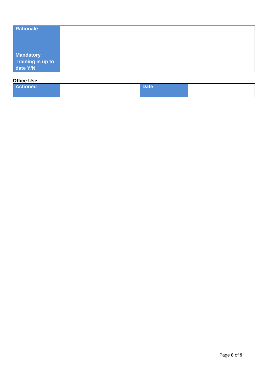| Rationale                     |  |
|-------------------------------|--|
|                               |  |
|                               |  |
| Mandatory                     |  |
| Training is up to<br>date Y/N |  |
|                               |  |

#### **Office Use**

| <b>Actioned</b> | Date |  |
|-----------------|------|--|
|                 |      |  |